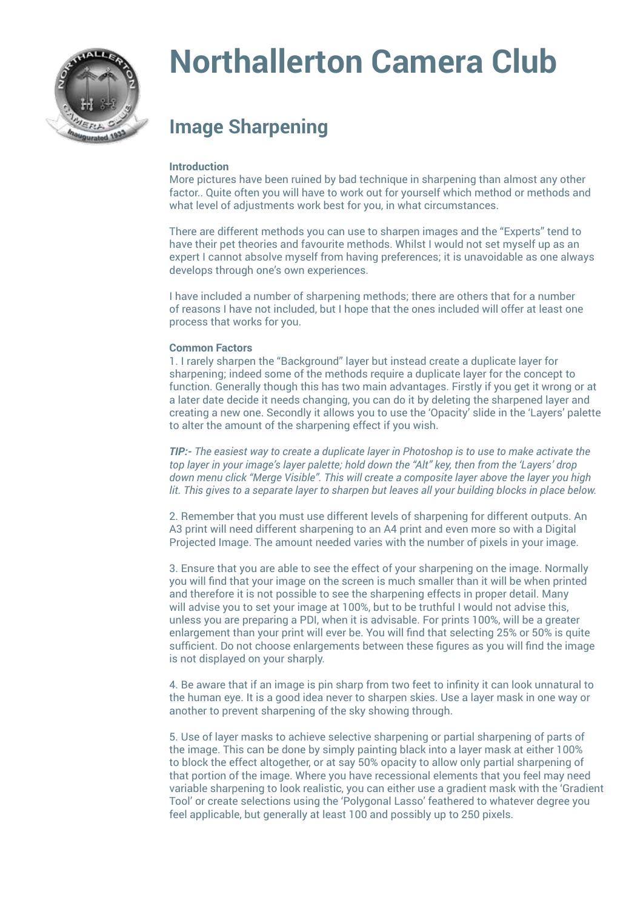

# **Northallerton Camera Club**

# **Image Sharpening**

# **Introduction**

More pictures have been ruined by bad technique in sharpening than almost any other factor.. Quite often you will have to work out for yourself which method or methods and what level of adjustments work best for you, in what circumstances.

There are different methods you can use to sharpen images and the "Experts" tend to have their pet theories and favourite methods. Whilst I would not set myself up as an expert I cannot absolve myself from having preferences; it is unavoidable as one always develops through one's own experiences.

I have included a number of sharpening methods; there are others that for a number of reasons I have not included, but I hope that the ones included will offer at least one process that works for you.

#### **Common Factors**

1. I rarely sharpen the "Background" layer but instead create a duplicate layer for sharpening; indeed some of the methods require a duplicate layer for the concept to function. Generally though this has two main advantages. Firstly if you get it wrong or at a later date decide it needs changing, you can do it by deleting the sharpened layer and creating a new one. Secondly it allows you to use the 'Opacity' slide in the 'Layers' palette to alter the amount of the sharpening effect if you wish.

*TIP:- The easiest way to create a duplicate layer in Photoshop is to use to make activate the top layer in your image's layer palette; hold down the "Alt" key, then from the 'Layers' drop down menu click "Merge Visible". This will create a composite layer above the layer you high lit. This gives to a separate layer to sharpen but leaves all your building blocks in place below.*

2. Remember that you must use different levels of sharpening for different outputs. An A3 print will need different sharpening to an A4 print and even more so with a Digital Projected Image. The amount needed varies with the number of pixels in your image.

3. Ensure that you are able to see the effect of your sharpening on the image. Normally you will find that your image on the screen is much smaller than it will be when printed and therefore it is not possible to see the sharpening effects in proper detail. Many will advise you to set your image at 100%, but to be truthful I would not advise this, unless you are preparing a PDI, when it is advisable. For prints 100%, will be a greater enlargement than your print will ever be. You will find that selecting 25% or 50% is quite sufficient. Do not choose enlargements between these figures as you will find the image is not displayed on your sharply.

4. Be aware that if an image is pin sharp from two feet to infinity it can look unnatural to the human eye. It is a good idea never to sharpen skies. Use a layer mask in one way or another to prevent sharpening of the sky showing through.

5. Use of layer masks to achieve selective sharpening or partial sharpening of parts of the image. This can be done by simply painting black into a layer mask at either 100% to block the effect altogether, or at say 50% opacity to allow only partial sharpening of that portion of the image. Where you have recessional elements that you feel may need variable sharpening to look realistic, you can either use a gradient mask with the 'Gradient Tool' or create selections using the 'Polygonal Lasso' feathered to whatever degree you feel applicable, but generally at least 100 and possibly up to 250 pixels.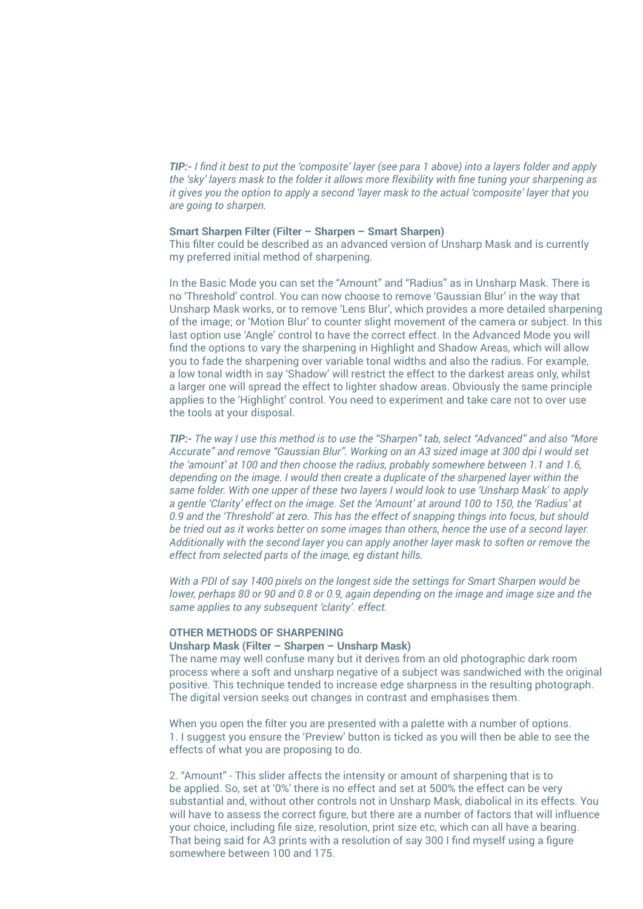*TIP:- I find it best to put the 'composite' layer (see para 1 above) into a layers folder and apply the 'sky' layers mask to the folder it allows more flexibility with fine tuning your sharpening as it gives you the option to apply a second 'layer mask to the actual 'composite' layer that you are going to sharpen.*

# **Smart Sharpen Filter (Filter – Sharpen – Smart Sharpen)**

This filter could be described as an advanced version of Unsharp Mask and is currently my preferred initial method of sharpening.

In the Basic Mode you can set the "Amount" and "Radius" as in Unsharp Mask. There is no 'Threshold' control. You can now choose to remove 'Gaussian Blur' in the way that Unsharp Mask works, or to remove 'Lens Blur', which provides a more detailed sharpening of the image; or 'Motion Blur' to counter slight movement of the camera or subject. In this last option use 'Angle' control to have the correct effect. In the Advanced Mode you will find the options to vary the sharpening in Highlight and Shadow Areas, which will allow you to fade the sharpening over variable tonal widths and also the radius. For example, a low tonal width in say 'Shadow' will restrict the effect to the darkest areas only, whilst a larger one will spread the effect to lighter shadow areas. Obviously the same principle applies to the 'Highlight' control. You need to experiment and take care not to over use the tools at your disposal.

*TIP:- The way I use this method is to use the "Sharpen" tab, select "Advanced" and also "More Accurate" and remove "Gaussian Blur". Working on an A3 sized image at 300 dpi I would set the 'amount' at 100 and then choose the radius, probably somewhere between 1.1 and 1.6, depending on the image. I would then create a duplicate of the sharpened layer within the same folder. With one upper of these two layers I would look to use 'Unsharp Mask' to apply a gentle 'Clarity' effect on the image. Set the 'Amount' at around 100 to 150, the 'Radius' at 0.9 and the 'Threshold' at zero. This has the effect of snapping things into focus, but should be tried out as it works better on some images than others, hence the use of a second layer. Additionally with the second layer you can apply another layer mask to soften or remove the effect from selected parts of the image, eg distant hills.*

*With a PDI of say 1400 pixels on the longest side the settings for Smart Sharpen would be lower, perhaps 80 or 90 and 0.8 or 0.9, again depending on the image and image size and the same applies to any subsequent 'clarity'. effect.*

#### **OTHER METHODS OF SHARPENING**

# **Unsharp Mask (Filter – Sharpen – Unsharp Mask)**

The name may well confuse many but it derives from an old photographic dark room process where a soft and unsharp negative of a subject was sandwiched with the original positive. This technique tended to increase edge sharpness in the resulting photograph. The digital version seeks out changes in contrast and emphasises them.

When you open the filter you are presented with a palette with a number of options. 1. I suggest you ensure the 'Preview' button is ticked as you will then be able to see the effects of what you are proposing to do.

2. "Amount" - This slider affects the intensity or amount of sharpening that is to be applied. So, set at '0%' there is no effect and set at 500% the effect can be very substantial and, without other controls not in Unsharp Mask, diabolical in its effects. You will have to assess the correct figure, but there are a number of factors that will influence your choice, including file size, resolution, print size etc, which can all have a bearing. That being said for A3 prints with a resolution of say 300 I find myself using a figure somewhere between 100 and 175.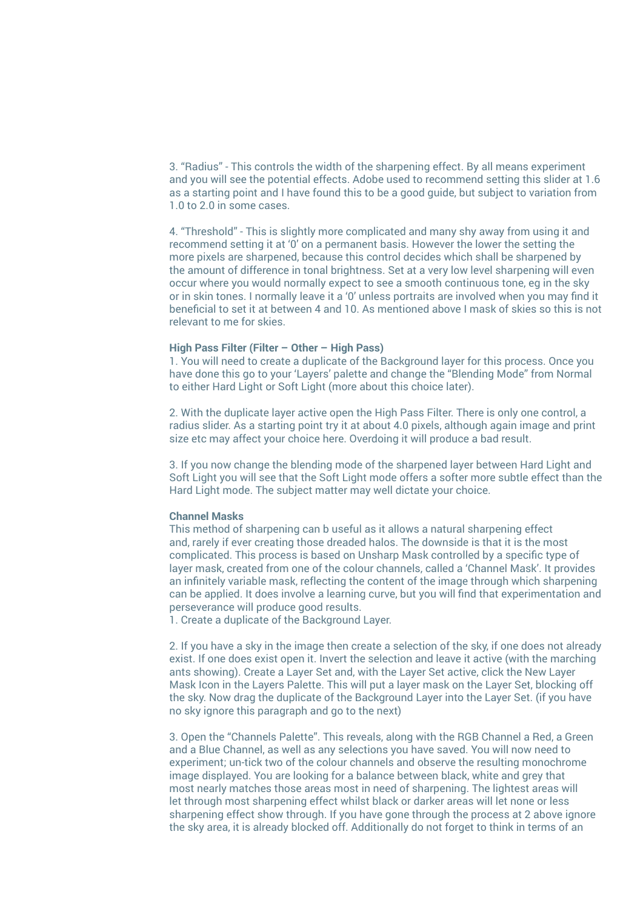3. "Radius" - This controls the width of the sharpening effect. By all means experiment and you will see the potential effects. Adobe used to recommend setting this slider at 1.6 as a starting point and I have found this to be a good guide, but subject to variation from 1.0 to 2.0 in some cases.

4. "Threshold" - This is slightly more complicated and many shy away from using it and recommend setting it at '0' on a permanent basis. However the lower the setting the more pixels are sharpened, because this control decides which shall be sharpened by the amount of difference in tonal brightness. Set at a very low level sharpening will even occur where you would normally expect to see a smooth continuous tone, eg in the sky or in skin tones. I normally leave it a '0' unless portraits are involved when you may find it beneficial to set it at between 4 and 10. As mentioned above I mask of skies so this is not relevant to me for skies.

# **High Pass Filter (Filter – Other – High Pass)**

1. You will need to create a duplicate of the Background layer for this process. Once you have done this go to your 'Layers' palette and change the "Blending Mode" from Normal to either Hard Light or Soft Light (more about this choice later).

2. With the duplicate layer active open the High Pass Filter. There is only one control, a radius slider. As a starting point try it at about 4.0 pixels, although again image and print size etc may affect your choice here. Overdoing it will produce a bad result.

3. If you now change the blending mode of the sharpened layer between Hard Light and Soft Light you will see that the Soft Light mode offers a softer more subtle effect than the Hard Light mode. The subject matter may well dictate your choice.

#### **Channel Masks**

This method of sharpening can b useful as it allows a natural sharpening effect and, rarely if ever creating those dreaded halos. The downside is that it is the most complicated. This process is based on Unsharp Mask controlled by a specific type of layer mask, created from one of the colour channels, called a 'Channel Mask'. It provides an infinitely variable mask, reflecting the content of the image through which sharpening can be applied. It does involve a learning curve, but you will find that experimentation and perseverance will produce good results.

1. Create a duplicate of the Background Layer.

2. If you have a sky in the image then create a selection of the sky, if one does not already exist. If one does exist open it. Invert the selection and leave it active (with the marching ants showing). Create a Layer Set and, with the Layer Set active, click the New Layer Mask Icon in the Layers Palette. This will put a layer mask on the Layer Set, blocking off the sky. Now drag the duplicate of the Background Layer into the Layer Set. (if you have no sky ignore this paragraph and go to the next)

3. Open the "Channels Palette". This reveals, along with the RGB Channel a Red, a Green and a Blue Channel, as well as any selections you have saved. You will now need to experiment; un-tick two of the colour channels and observe the resulting monochrome image displayed. You are looking for a balance between black, white and grey that most nearly matches those areas most in need of sharpening. The lightest areas will let through most sharpening effect whilst black or darker areas will let none or less sharpening effect show through. If you have gone through the process at 2 above ignore the sky area, it is already blocked off. Additionally do not forget to think in terms of an